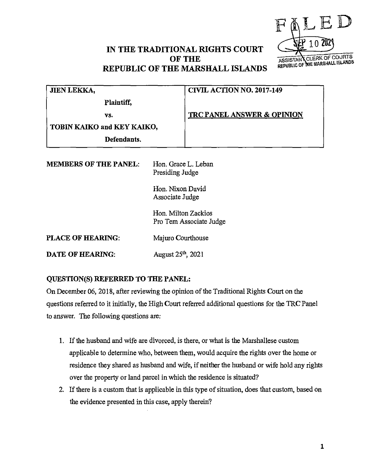

## **IN THE TRADITIONAL RIGHTS COURT OF THE REPUBLIC OF THE MARSHALL ISLANDS**

| JIEN LEKKA,                  |                                | <b>CIVIL ACTION NO. 2017-149</b>                                                                                                |  |
|------------------------------|--------------------------------|---------------------------------------------------------------------------------------------------------------------------------|--|
| Plaintiff,                   |                                |                                                                                                                                 |  |
| VS.                          |                                | <b>TRC PANEL ANSWER &amp; OPINION</b>                                                                                           |  |
| TOBIN KAIKO and KEY KAIKO,   |                                |                                                                                                                                 |  |
| Defendants.                  |                                |                                                                                                                                 |  |
| <b>MEMBERS OF THE PANEL:</b> |                                | Hon. Grace L. Leban<br>Presiding Judge<br>Hon. Nixon David<br>Associate Judge<br>Hon. Milton Zackios<br>Pro Tem Associate Judge |  |
| <b>PLACE OF HEARING:</b>     | Majuro Courthouse              |                                                                                                                                 |  |
| <b>DATE OF HEARING:</b>      | August 25 <sup>th</sup> , 2021 |                                                                                                                                 |  |

## **QUESTION(S) REFERRED TO THE PANEL:**

On December 06, 2018, after reviewing the opinion of the Traditional Rights Court on the questions referred to it initially, the High Court referred additional questions for the 1RC Panel to answer. The following questions are:

- 1. If the husband and wife are divorced, is there, or what is the Marshallese custom applicable to determine who, between them, would acquire the rights over the home or residence they shared as husband and wife, if neither the husband or wife hold any rights over the property or land parcel in which the residence is situated?
- 2. If there is a custom that is applicable in this type of situation, does that custom, based on the evidence presented in this case, apply therein?